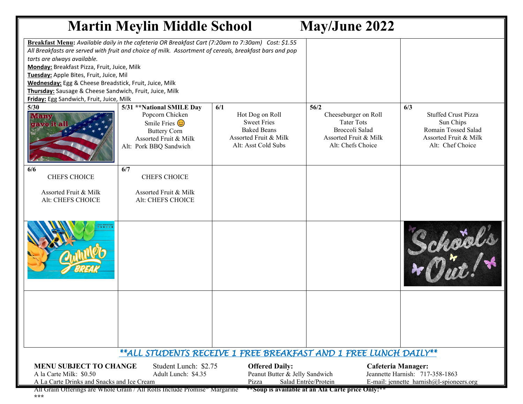| <b>Martin Meylin Middle School</b><br><b>May/June 2022</b>                                                                                                                                                                                                                             |                                                                                                                                                                                                              |                                                                                                                    |                                                                                                                   |                                                                                                                    |
|----------------------------------------------------------------------------------------------------------------------------------------------------------------------------------------------------------------------------------------------------------------------------------------|--------------------------------------------------------------------------------------------------------------------------------------------------------------------------------------------------------------|--------------------------------------------------------------------------------------------------------------------|-------------------------------------------------------------------------------------------------------------------|--------------------------------------------------------------------------------------------------------------------|
| tarts are always available.<br>Monday: Breakfast Pizza, Fruit, Juice, Milk<br>Tuesday: Apple Bites, Fruit, Juice, Mil<br>Wednesday: Egg & Cheese Breadstick, Fruit, Juice, Milk<br>Thursday: Sausage & Cheese Sandwich, Fruit, Juice, Milk<br>Friday: Egg Sandwich, Fruit, Juice, Milk | Breakfast Menu: Available daily in the cafeteria OR Breakfast Cart (7:20am to 7:30am) Cost: \$1.55<br>All Breakfasts are served with fruit and choice of milk. Assortment of cereals, breakfast bars and pop |                                                                                                                    |                                                                                                                   |                                                                                                                    |
| 5/30                                                                                                                                                                                                                                                                                   | 5/31 ** National SMILE Day<br>Popcorn Chicken<br>Smile Fries $\odot$<br><b>Buttery Corn</b><br>Assorted Fruit & Milk<br>Alt: Pork BBQ Sandwich                                                               | 6/1<br>Hot Dog on Roll<br><b>Sweet Fries</b><br><b>Baked Beans</b><br>Assorted Fruit & Milk<br>Alt: Asst Cold Subs | 56/2<br>Cheeseburger on Roll<br><b>Tater Tots</b><br>Broccoli Salad<br>Assorted Fruit & Milk<br>Alt: Chefs Choice | 6/3<br><b>Stuffed Crust Pizza</b><br>Sun Chips<br>Romain Tossed Salad<br>Assorted Fruit & Milk<br>Alt: Chef Choice |
| 6/6<br><b>CHEFS CHOICE</b>                                                                                                                                                                                                                                                             | 6/7<br><b>CHEFS CHOICE</b>                                                                                                                                                                                   |                                                                                                                    |                                                                                                                   |                                                                                                                    |
| Assorted Fruit & Milk<br>Alt: CHEFS CHOICE                                                                                                                                                                                                                                             | Assorted Fruit & Milk<br>Alt: CHEFS CHOICE                                                                                                                                                                   |                                                                                                                    |                                                                                                                   |                                                                                                                    |
| 0.000                                                                                                                                                                                                                                                                                  |                                                                                                                                                                                                              |                                                                                                                    |                                                                                                                   | School                                                                                                             |
|                                                                                                                                                                                                                                                                                        |                                                                                                                                                                                                              |                                                                                                                    |                                                                                                                   |                                                                                                                    |
| ** ALL STUDENTS RECEIVE 1 FREE BREAKFAST AND 1 FREE LUNCH DAILY **                                                                                                                                                                                                                     |                                                                                                                                                                                                              |                                                                                                                    |                                                                                                                   |                                                                                                                    |
| <b>MENU SUBJECT TO CHANGE</b><br>Student Lunch: \$2.75<br>A la Carte Milk: \$0.50<br>Adult Lunch: \$4.35                                                                                                                                                                               |                                                                                                                                                                                                              | <b>Offered Daily:</b>                                                                                              | <b>Cafeteria Manager:</b><br>Peanut Butter & Jelly Sandwich<br>Jeannette Harnish: 717-358-1863                    |                                                                                                                    |
| Salad Entrée/Protein<br>A La Carte Drinks and Snacks and Ice Cream<br>E-mail: jennette harnish@l-spioneers.org<br>Pizza<br>All Grain Offerings are Whole Grain / All Rolls Include Promise <sup>®</sup> Margarine<br>**Soup is available at an Ala Carte price Only!**                 |                                                                                                                                                                                                              |                                                                                                                    |                                                                                                                   |                                                                                                                    |